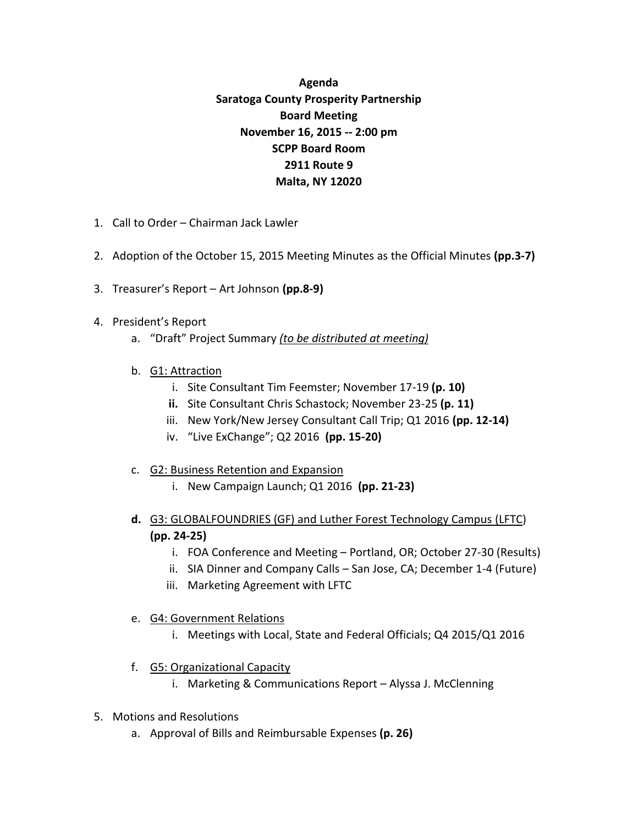## **Agenda Saratoga County Prosperity Partnership Board Meeting November 16, 2015 -- 2:00 pm SCPP Board Room 2911 Route 9 Malta, NY 12020**

- 1. Call to Order Chairman Jack Lawler
- 2. Adoption of the October 15, 2015 Meeting Minutes as the Official Minutes **(pp.3-7)**
- 3. Treasurer's Report Art Johnson **(pp.8-9)**
- 4. President's Report
	- a. "Draft" Project Summary *(to be distributed at meeting)*
	- b. G1: Attraction
		- i. Site Consultant Tim Feemster; November 17-19 **(p. 10)**
		- **ii.** Site Consultant Chris Schastock; November 23-25 **(p. 11)**
		- iii. New York/New Jersey Consultant Call Trip; Q1 2016 **(pp. 12-14)**
		- iv. "Live ExChange"; Q2 2016 **(pp. 15-20)**
	- c. G2: Business Retention and Expansion
		- i. New Campaign Launch; Q1 2016 **(pp. 21-23)**
	- **d.** G3: GLOBALFOUNDRIES (GF) and Luther Forest Technology Campus (LFTC) **(pp. 24-25)**
		- i. FOA Conference and Meeting Portland, OR; October 27-30 (Results)
		- ii. SIA Dinner and Company Calls San Jose, CA; December 1-4 (Future)
		- iii. Marketing Agreement with LFTC
	- e. G4: Government Relations
		- i. Meetings with Local, State and Federal Officials; Q4 2015/Q1 2016
	- f. G5: Organizational Capacity
		- i. Marketing & Communications Report Alyssa J. McClenning
- 5. Motions and Resolutions
	- a. Approval of Bills and Reimbursable Expenses **(p. 26)**